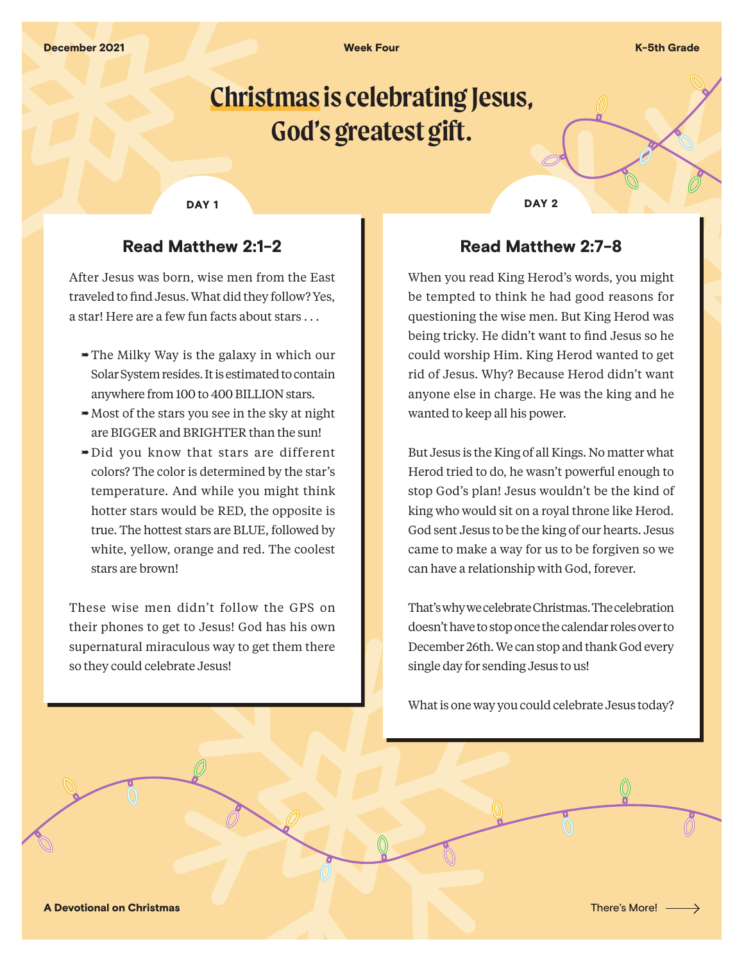**Week Four K-5th Grade** 

# **Christmas is celebrating Jesus, God's greatest gift.**

# Read Matthew 2:1-2

After Jesus was born, wise men from the East traveled to find Jesus. What did they follow? Yes, a star! Here are a few fun facts about stars . . .

- $\rightarrow$  The Milky Way is the galaxy in which our Solar System resides. It is estimated to contain anywhere from 100 to 400 BILLION stars.
- $\rightarrow$  Most of the stars you see in the sky at night are BIGGER and BRIGHTER than the sun!
- $\rightarrow$  Did you know that stars are different colors? The color is determined by the star's temperature. And while you might think hotter stars would be RED, the opposite is true. The hottest stars are BLUE, followed by white, yellow, orange and red. The coolest stars are brown!

These wise men didn't follow the GPS on their phones to get to Jesus! God has his own supernatural miraculous way to get them there so they could celebrate Jesus!

DAY 1 DAY 2

### Read Matthew 2:7-8

When you read King Herod's words, you might be tempted to think he had good reasons for questioning the wise men. But King Herod was being tricky. He didn't want to find Jesus so he could worship Him. King Herod wanted to get rid of Jesus. Why? Because Herod didn't want anyone else in charge. He was the king and he wanted to keep all his power.

But Jesus is the King of all Kings. No matter what Herod tried to do, he wasn't powerful enough to stop God's plan! Jesus wouldn't be the kind of king who would sit on a royal throne like Herod. God sent Jesus to be the king of our hearts. Jesus came to make a way for us to be forgiven so we can have a relationship with God, forever.

That's why we celebrate Christmas. The celebration doesn't have to stop once the calendar roles over to December 26th. We can stop and thank God every single day for sending Jesus to us!

What is one way you could celebrate Jesus today?

A Devotional on Christmas